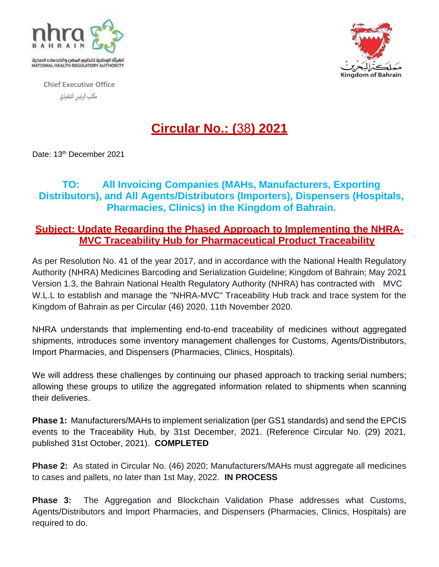

**Chief Executive Office مكتب الرئيس التنفيذي** 



## **Circular No.: (**38**) 2021**

Date: 13<sup>th</sup> December 2021

## **TO: All Invoicing Companies (MAHs, Manufacturers, Exporting Distributors), and All Agents/Distributors (Importers), Dispensers (Hospitals, Pharmacies, Clinics) in the Kingdom of Bahrain.**

## **Subject: Update Regarding the Phased Approach to Implementing the NHRA-MVC Traceability Hub for Pharmaceutical Product Traceability**

As per Resolution No. 41 of the year 2017, and in accordance with the National Health Regulatory Authority (NHRA) Medicines Barcoding and Serialization Guideline; Kingdom of Bahrain; May 2021 Version 1.3, the Bahrain National Health Regulatory Authority (NHRA) has contracted with MVC W.L.L to establish and manage the "NHRA-MVC" Traceability Hub track and trace system for the Kingdom of Bahrain as per Circular (46) 2020, 11th November 2020.

NHRA understands that implementing end-to-end traceability of medicines without aggregated shipments, introduces some inventory management challenges for Customs, Agents/Distributors, Import Pharmacies, and Dispensers (Pharmacies, Clinics, Hospitals).

We will address these challenges by continuing our phased approach to tracking serial numbers; allowing these groups to utilize the aggregated information related to shipments when scanning their deliveries.

**Phase 1:** Manufacturers/MAHs to implement serialization (per GS1 standards) and send the EPCIS events to the Traceability Hub, by 31st December, 2021. (Reference Circular No. (29) 2021, published 31st October, 2021). **COMPLETED**

**Phase 2:** As stated in Circular No. (46) 2020; Manufacturers/MAHs must aggregate all medicines to cases and pallets, no later than 1st May, 2022. **IN PROCESS**

**Phase 3:** The Aggregation and Blockchain Validation Phase addresses what Customs, Agents/Distributors and Import Pharmacies, and Dispensers (Pharmacies, Clinics, Hospitals) are required to do.